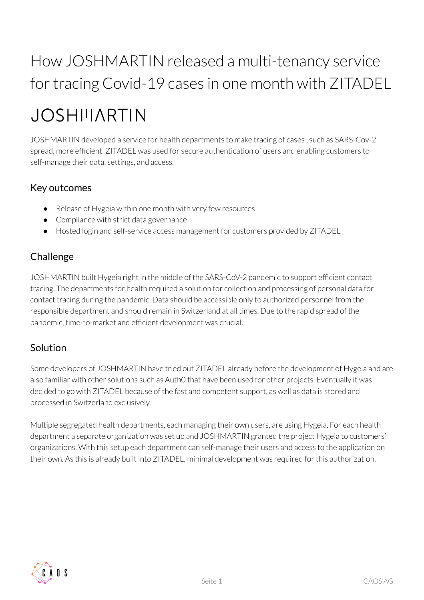## How JOSHMARTIN released a multi-tenancy service for tracing Covid-19 cases in one month with ZITADEL

# **JOSHIIIARTIN**

JOSHMARTIN developed a service for health departments to make tracing of cases , such as SARS-Cov-2 spread, more efficient. ZITADEL was used for secure authentication of users and enabling customers to self-manage their data, settings, and access.

#### Key outcomes

- Release of Hygeia within one month with very few resources
- Compliance with strict data governance
- Hosted login and self-service access management for customers provided by ZITADEL

## Challenge

JOSHMARTIN built Hygeia right in the middle of the SARS-CoV-2 pandemic to support efficient contact tracing. The departments for health required a solution for collection and processing of personal data for contact tracing during the pandemic. Data should be accessible only to authorized personnel from the responsible department and should remain in Switzerland at all times. Due to the rapid spread of the pandemic, time-to-market and efficient development was crucial.

### Solution

Some developers of JOSHMARTIN have tried out ZITADEL already before the development of Hygeia and are also familiar with other solutions such as Auth0 that have been used for other projects. Eventually it was decided to go with ZITADEL because of the fast and competent support, as well as data is stored and processed in Switzerland exclusively.

Multiple segregated health departments, each managing their own users, are using Hygeia. For each health department a separate organization was set up and JOSHMARTIN granted the project Hygeia to customers' organizations. With this setup each department can self-manage their users and access to the application on their own. As this is already built into ZITADEL, minimal development was required forthis authorization.

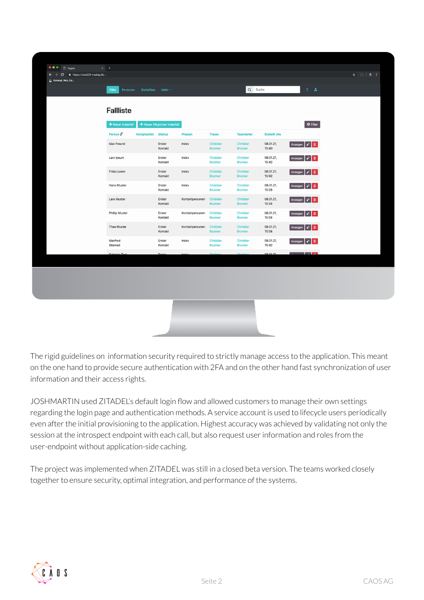| + Neuer Indexfall              |                             |                 |                             |                                    |                    |                                      |  |
|--------------------------------|-----------------------------|-----------------|-----------------------------|------------------------------------|--------------------|--------------------------------------|--|
| Person J<br>Komplexität Status | + Neuer Möglicher Indexfall | <b>Phasen</b>   | <b>Tracer</b>               | <b>Teamleiter</b>                  | <b>Erstellt Am</b> | <b>Φ</b> Filter                      |  |
| Max Freund                     | Erster<br>Kontakt           | Index           | Christian<br><b>Brunner</b> | Christian<br><b>Brunner</b>        | 08.01.21,<br>15:40 | Anzeigen $\mathcal{V}$ $\mathcal{V}$ |  |
| Lars Ipsum                     | Erster<br>Kontakt           | Index           | Christian<br><b>Brunner</b> | <b>Christian</b><br><b>Brunner</b> | 08.01.21,<br>15:42 | Anzeigen   /   II                    |  |
| Frida Lorem                    | Erster<br>Kontakt           | Index           | Christian<br><b>Brunner</b> | Christian<br><b>Brunner</b>        | 08.01.21,<br>15:42 | Anzeigen   s   m                     |  |
| Hans Muster                    | Erster<br>Kontakt           | Index           | Christian<br><b>Brunner</b> | Christian<br><b>Brunner</b>        | 08.01.21,<br>15:28 | Anzeigen   /   1                     |  |
| Lara Muster                    | Erster<br>Kontakt           | Kontaktpersonen | Christian<br><b>Brunner</b> | Christian<br><b>Brunner</b>        | 08.01.21,<br>15:34 | Anzeigen   J'   m                    |  |
| <b>Phillip Muster</b>          | Erster<br>Kontakt           | Kontaktpersonen | Christian<br><b>Brunner</b> | Christian<br><b>Brunner</b>        | 08.01.21,<br>15:34 | Anzeigen   J'   m                    |  |
| Thea Muster                    | Erster<br>Kontakt           | Kontaktpersonen | Christian<br><b>Brunner</b> | Christian<br><b>Brunner</b>        | 08.01.21,<br>15:34 | Anzeigen   J'   III                  |  |
| Manfred<br>Sitamed             | Erster<br>Kontakt           | Index           | Christian<br><b>Brunner</b> | Christian<br><b>Brunner</b>        | 08.01.21,<br>15:42 | Anzeigen   J'   1                    |  |
| Cohriele Test                  | Erete                       |                 | $0.11 - 0.11$               | $0.1 - 0.1$                        | 08.01.21           | <b>Links</b>                         |  |

The rigid guidelines on information security required to strictly manage access to the application. This meant on the one hand to provide secure authentication with 2FA and on the other hand fast synchronization of user information and their access rights.

JOSHMARTIN used ZITADEL's default login flow and allowed customers to manage their own settings regarding the login page and authentication methods. A service account is used to lifecycle users periodically even after the initial provisioning to the application. Highest accuracy was achieved by validating not only the session at the introspect endpoint with each call, but also request userinformation and roles from the user-endpoint without application-side caching.

The project was implemented when ZITADEL was still in a closed beta version. The teams worked closely together to ensure security, optimal integration, and performance of the systems.